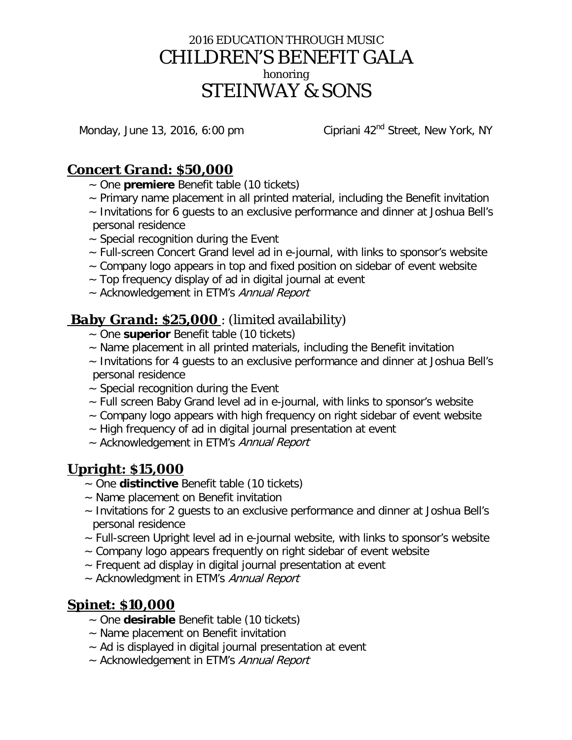# 2016 EDUCATION THROUGH MUSIC CHILDREN'S BENEFIT GALA honoring STEINWAY & SONS

Monday, June 13, 2016, 6:00 pm Cipriani 42<sup>nd</sup> Street, New York, NY

## *Concert Grand: \$50,000*

- ~ One **premiere** Benefit table (10 tickets)
- ~ Primary name placement in all printed material, including the Benefit invitation
- ~ Invitations for 6 guests to an exclusive performance and dinner at Joshua Bell's personal residence
- $\sim$  Special recognition during the Event
- ~ Full-screen Concert Grand level ad in e-journal, with links to sponsor's website
- $\sim$  Company logo appears in top and fixed position on sidebar of event website
- $\sim$  Top frequency display of ad in digital journal at event
- ~ Acknowledgement in ETM's Annual Report

# *Baby Grand: \$25,000* : (limited availability)

- ~ One **superior** Benefit table (10 tickets)
- ~ Name placement in all printed materials, including the Benefit invitation
- ~ Invitations for 4 guests to an exclusive performance and dinner at Joshua Bell's personal residence
- $\sim$  Special recognition during the Event
- ~ Full screen Baby Grand level ad in e-journal, with links to sponsor's website
- ~ Company logo appears with high frequency on right sidebar of event website
- ~ High frequency of ad in digital journal presentation at event
- ~ Acknowledgement in ETM's Annual Report

# *Upright: \$15,000*

- ~ One **distinctive** Benefit table (10 tickets)
- ~ Name placement on Benefit invitation
- ~ Invitations for 2 guests to an exclusive performance and dinner at Joshua Bell's personal residence
- ~ Full-screen Upright level ad in e-journal website, with links to sponsor's website
- $\sim$  Company logo appears frequently on right sidebar of event website
- ~ Frequent ad display in digital journal presentation at event
- ~ Acknowledgment in ETM's Annual Report

# *Spinet: \$10,000*

- ~ One **desirable** Benefit table (10 tickets)
- ~ Name placement on Benefit invitation
- ~ Ad is displayed in digital journal presentation at event
- ~ Acknowledgement in ETM's Annual Report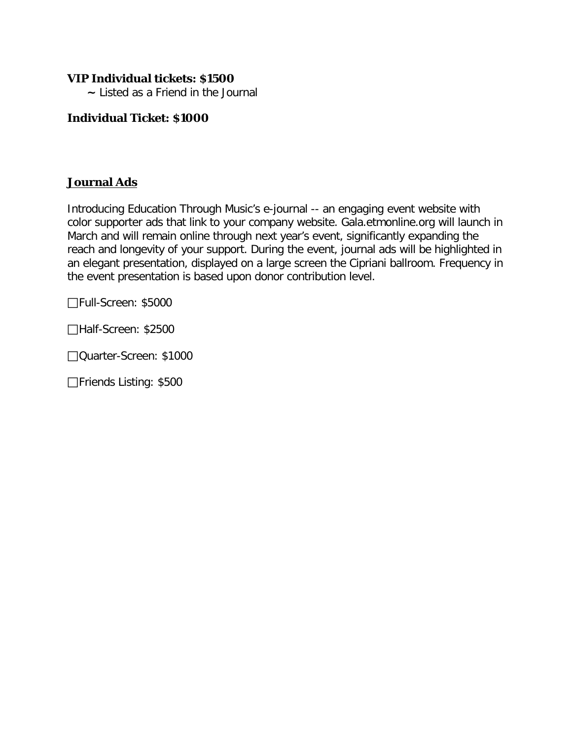## **VIP Individual tickets: \$1500**

 **~** Listed as a Friend in the Journal

## **Individual Ticket: \$1000**

## **Journal Ads**

Introducing Education Through Music's e-journal -- an engaging event website with color supporter ads that link to your company website. Gala.etmonline.org will launch in March and will remain online through next year's event, significantly expanding the reach and longevity of your support. During the event, journal ads will be highlighted in an elegant presentation, displayed on a large screen the Cipriani ballroom. Frequency in the event presentation is based upon donor contribution level.

Full-Screen: \$5000

Half-Screen: \$2500

Quarter-Screen: \$1000

□Friends Listing: \$500